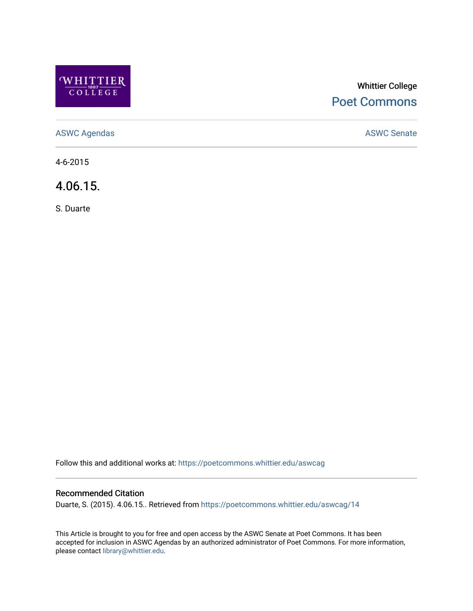

# Whittier College [Poet Commons](https://poetcommons.whittier.edu/)

[ASWC Agendas](https://poetcommons.whittier.edu/aswcag) **ASWC Senate** 

4-6-2015

4.06.15.

S. Duarte

Follow this and additional works at: [https://poetcommons.whittier.edu/aswcag](https://poetcommons.whittier.edu/aswcag?utm_source=poetcommons.whittier.edu%2Faswcag%2F14&utm_medium=PDF&utm_campaign=PDFCoverPages) 

## Recommended Citation

Duarte, S. (2015). 4.06.15.. Retrieved from [https://poetcommons.whittier.edu/aswcag/14](https://poetcommons.whittier.edu/aswcag/14?utm_source=poetcommons.whittier.edu%2Faswcag%2F14&utm_medium=PDF&utm_campaign=PDFCoverPages) 

This Article is brought to you for free and open access by the ASWC Senate at Poet Commons. It has been accepted for inclusion in ASWC Agendas by an authorized administrator of Poet Commons. For more information, please contact [library@whittier.edu](mailto:library@whittier.edu).